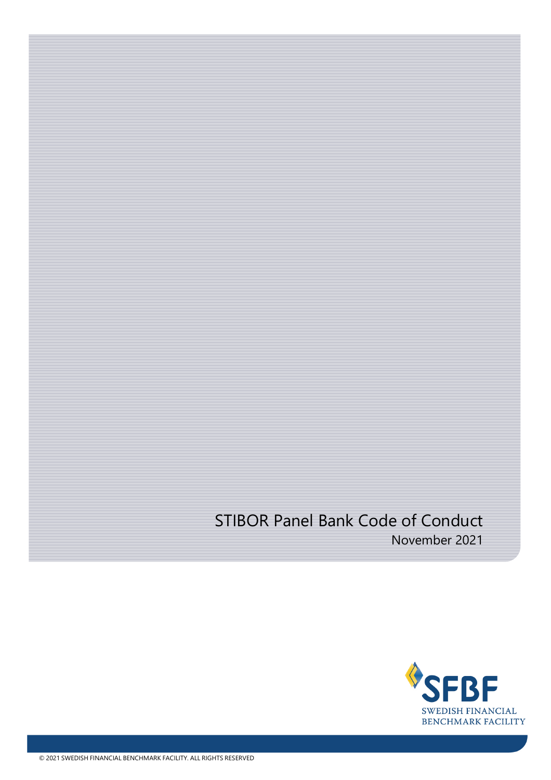# STIBOR Panel Bank Code of Conduct November 2021

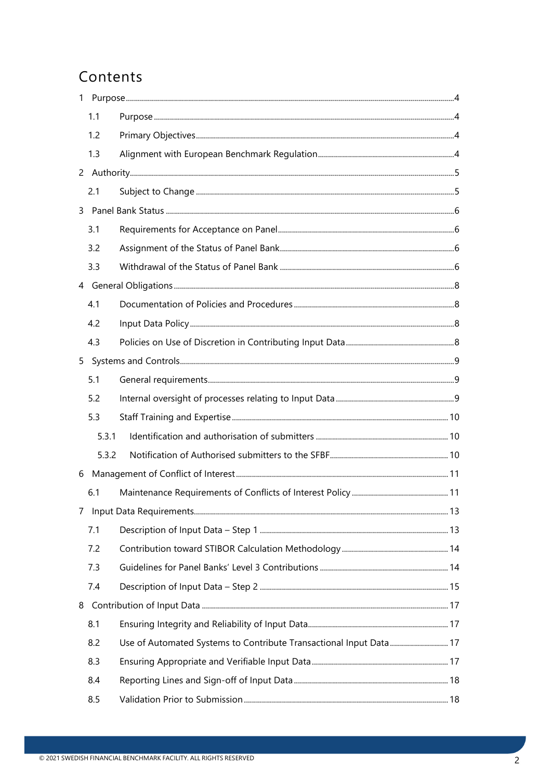# Contents

| 1   |                                                                    |  |
|-----|--------------------------------------------------------------------|--|
| 1.1 |                                                                    |  |
| 1.2 |                                                                    |  |
| 1.3 |                                                                    |  |
|     |                                                                    |  |
| 2.1 |                                                                    |  |
|     |                                                                    |  |
| 3.1 |                                                                    |  |
| 3.2 |                                                                    |  |
| 3.3 |                                                                    |  |
|     |                                                                    |  |
| 4.1 |                                                                    |  |
| 4.2 |                                                                    |  |
| 4.3 |                                                                    |  |
| 5   |                                                                    |  |
| 5.1 |                                                                    |  |
| 5.2 |                                                                    |  |
| 5.3 |                                                                    |  |
|     | 5.3.1                                                              |  |
|     | 5.3.2                                                              |  |
| 6   |                                                                    |  |
| 6.1 |                                                                    |  |
|     |                                                                    |  |
| 7.1 |                                                                    |  |
| 7.2 |                                                                    |  |
| 7.3 |                                                                    |  |
| 7.4 |                                                                    |  |
| 8   |                                                                    |  |
| 8.1 |                                                                    |  |
| 8.2 | Use of Automated Systems to Contribute Transactional Input Data 17 |  |
| 8.3 |                                                                    |  |
| 8.4 |                                                                    |  |
| 8.5 |                                                                    |  |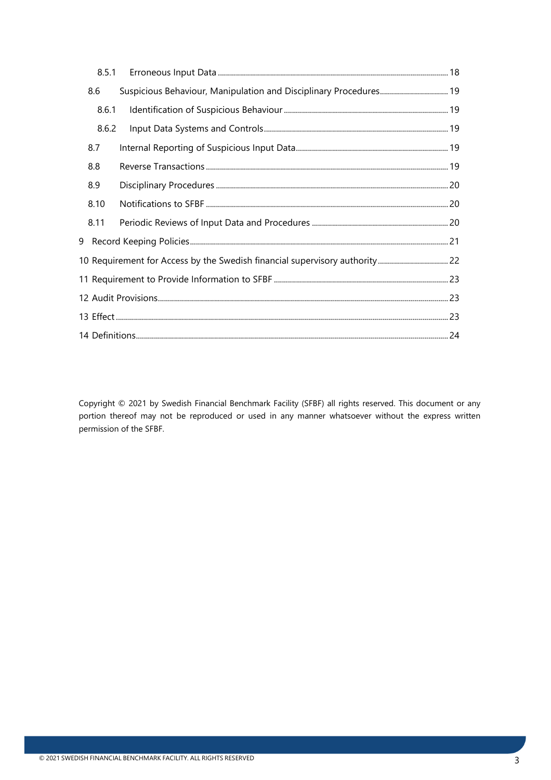|                                                                             | 8.5.1 |                                                                   |  |  |
|-----------------------------------------------------------------------------|-------|-------------------------------------------------------------------|--|--|
|                                                                             | 8.6   | Suspicious Behaviour, Manipulation and Disciplinary Procedures 19 |  |  |
|                                                                             | 8.6.1 |                                                                   |  |  |
|                                                                             | 8.6.2 |                                                                   |  |  |
|                                                                             | 8.7   |                                                                   |  |  |
|                                                                             | 8.8   |                                                                   |  |  |
|                                                                             | 8.9   |                                                                   |  |  |
|                                                                             | 8.10  |                                                                   |  |  |
|                                                                             | 8.11  |                                                                   |  |  |
|                                                                             |       |                                                                   |  |  |
| 10 Requirement for Access by the Swedish financial supervisory authority 22 |       |                                                                   |  |  |
|                                                                             |       |                                                                   |  |  |
|                                                                             |       |                                                                   |  |  |
|                                                                             |       |                                                                   |  |  |
|                                                                             |       |                                                                   |  |  |

Copyright © 2021 by Swedish Financial Benchmark Facility (SFBF) all rights reserved. This document or any portion thereof may not be reproduced or used in any manner whatsoever without the express written permission of the SFBF.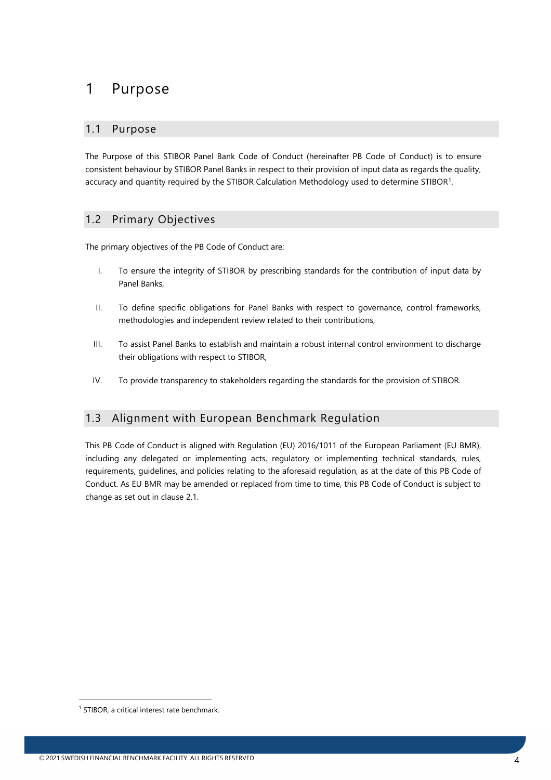## <span id="page-3-0"></span>1 Purpose

#### <span id="page-3-1"></span>1.1 Purpose

The Purpose of this STIBOR Panel Bank Code of Conduct (hereinafter PB Code of Conduct) is to ensure consistent behaviour by STIBOR Panel Banks in respect to their provision of input data as regards the quality, accuracy and quantity required by the STIBOR Calculation Methodology used to determine STIBOR[1](#page-3-4).

### <span id="page-3-2"></span>1.2 Primary Objectives

The primary objectives of the PB Code of Conduct are:

- I. To ensure the integrity of STIBOR by prescribing standards for the contribution of input data by Panel Banks,
- II. To define specific obligations for Panel Banks with respect to governance, control frameworks, methodologies and independent review related to their contributions,
- III. To assist Panel Banks to establish and maintain a robust internal control environment to discharge their obligations with respect to STIBOR,
- IV. To provide transparency to stakeholders regarding the standards for the provision of STIBOR.

### <span id="page-3-3"></span>1.3 Alignment with European Benchmark Regulation

This PB Code of Conduct is aligned with Regulation (EU) 2016/1011 of the European Parliament (EU BMR), including any delegated or implementing acts, regulatory or implementing technical standards, rules, requirements, guidelines, and policies relating to the aforesaid regulation, as at the date of this PB Code of Conduct. As EU BMR may be amended or replaced from time to time, this PB Code of Conduct is subject to change as set out in clause 2.1.

<span id="page-3-4"></span><sup>&</sup>lt;sup>1</sup> STIBOR, a critical interest rate benchmark.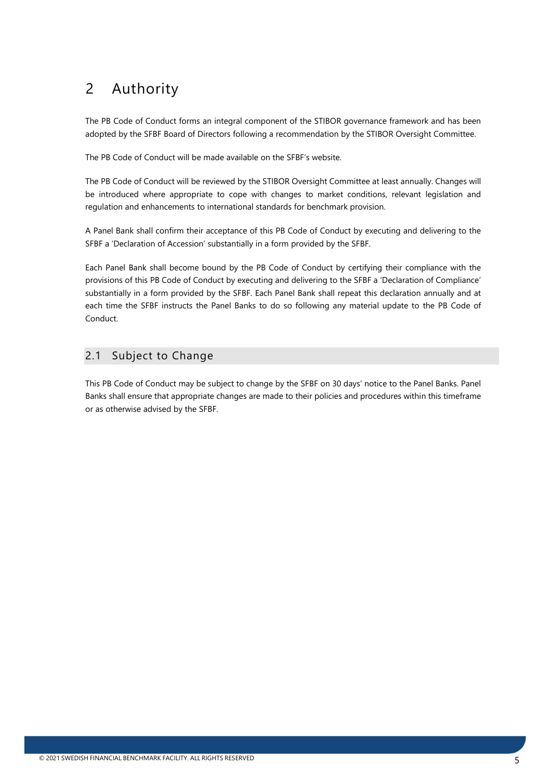# <span id="page-4-0"></span>2 Authority

The PB Code of Conduct forms an integral component of the STIBOR governance framework and has been adopted by the SFBF Board of Directors following a recommendation by the STIBOR Oversight Committee.

The PB Code of Conduct will be made available on the SFBF's website.

The PB Code of Conduct will be reviewed by the STIBOR Oversight Committee at least annually. Changes will be introduced where appropriate to cope with changes to market conditions, relevant legislation and regulation and enhancements to international standards for benchmark provision.

A Panel Bank shall confirm their acceptance of this PB Code of Conduct by executing and delivering to the SFBF a 'Declaration of Accession' substantially in a form provided by the SFBF.

Each Panel Bank shall become bound by the PB Code of Conduct by certifying their compliance with the provisions of this PB Code of Conduct by executing and delivering to the SFBF a 'Declaration of Compliance' substantially in a form provided by the SFBF. Each Panel Bank shall repeat this declaration annually and at each time the SFBF instructs the Panel Banks to do so following any material update to the PB Code of Conduct.

### <span id="page-4-1"></span>2.1 Subject to Change

This PB Code of Conduct may be subject to change by the SFBF on 30 days' notice to the Panel Banks. Panel Banks shall ensure that appropriate changes are made to their policies and procedures within this timeframe or as otherwise advised by the SFBF.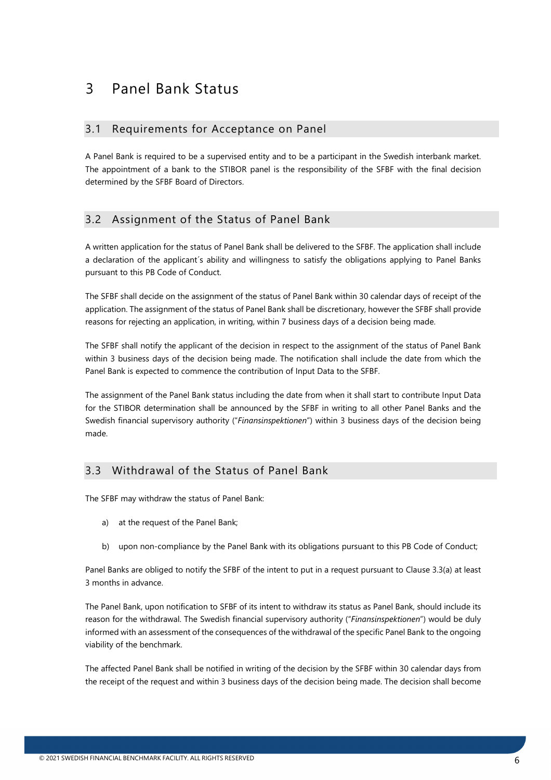## <span id="page-5-0"></span>3 Panel Bank Status

#### <span id="page-5-1"></span>3.1 Requirements for Acceptance on Panel

A Panel Bank is required to be a supervised entity and to be a participant in the Swedish interbank market. The appointment of a bank to the STIBOR panel is the responsibility of the SFBF with the final decision determined by the SFBF Board of Directors.

### <span id="page-5-2"></span>3.2 Assignment of the Status of Panel Bank

A written application for the status of Panel Bank shall be delivered to the SFBF. The application shall include a declaration of the applicant´s ability and willingness to satisfy the obligations applying to Panel Banks pursuant to this PB Code of Conduct.

The SFBF shall decide on the assignment of the status of Panel Bank within 30 calendar days of receipt of the application. The assignment of the status of Panel Bank shall be discretionary, however the SFBF shall provide reasons for rejecting an application, in writing, within 7 business days of a decision being made.

The SFBF shall notify the applicant of the decision in respect to the assignment of the status of Panel Bank within 3 business days of the decision being made. The notification shall include the date from which the Panel Bank is expected to commence the contribution of Input Data to the SFBF.

The assignment of the Panel Bank status including the date from when it shall start to contribute Input Data for the STIBOR determination shall be announced by the SFBF in writing to all other Panel Banks and the Swedish financial supervisory authority ("*Finansinspektionen*") within 3 business days of the decision being made.

### <span id="page-5-3"></span>3.3 Withdrawal of the Status of Panel Bank

The SFBF may withdraw the status of Panel Bank:

- a) at the request of the Panel Bank;
- b) upon non-compliance by the Panel Bank with its obligations pursuant to this PB Code of Conduct;

Panel Banks are obliged to notify the SFBF of the intent to put in a request pursuant to Clause 3.3(a) at least 3 months in advance.

The Panel Bank, upon notification to SFBF of its intent to withdraw its status as Panel Bank, should include its reason for the withdrawal. The Swedish financial supervisory authority ("*Finansinspektionen*") would be duly informed with an assessment of the consequences of the withdrawal of the specific Panel Bank to the ongoing viability of the benchmark.

The affected Panel Bank shall be notified in writing of the decision by the SFBF within 30 calendar days from the receipt of the request and within 3 business days of the decision being made. The decision shall become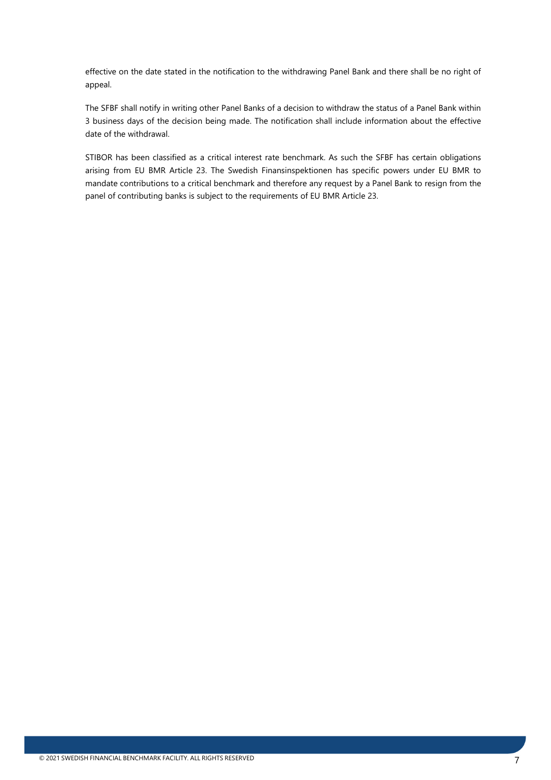effective on the date stated in the notification to the withdrawing Panel Bank and there shall be no right of appeal.

The SFBF shall notify in writing other Panel Banks of a decision to withdraw the status of a Panel Bank within 3 business days of the decision being made. The notification shall include information about the effective date of the withdrawal.

STIBOR has been classified as a critical interest rate benchmark. As such the SFBF has certain obligations arising from EU BMR Article 23. The Swedish Finansinspektionen has specific powers under EU BMR to mandate contributions to a critical benchmark and therefore any request by a Panel Bank to resign from the panel of contributing banks is subject to the requirements of EU BMR Article 23.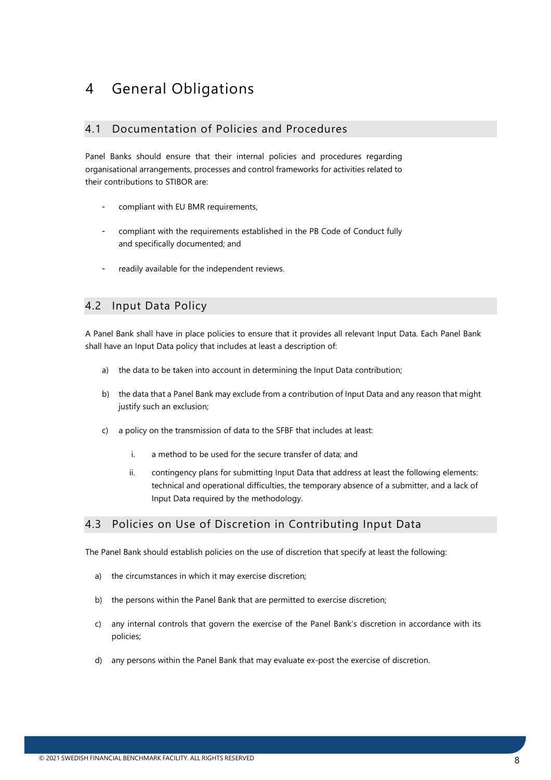## <span id="page-7-0"></span>4 General Obligations

#### <span id="page-7-1"></span>4.1 Documentation of Policies and Procedures

Panel Banks should ensure that their internal policies and procedures regarding organisational arrangements, processes and control frameworks for activities related to their contributions to STIBOR are:

- compliant with EU BMR requirements,
- compliant with the requirements established in the PB Code of Conduct fully and specifically documented; and
- readily available for the independent reviews.

#### <span id="page-7-2"></span>4.2 Input Data Policy

A Panel Bank shall have in place policies to ensure that it provides all relevant Input Data. Each Panel Bank shall have an Input Data policy that includes at least a description of:

- a) the data to be taken into account in determining the Input Data contribution;
- b) the data that a Panel Bank may exclude from a contribution of Input Data and any reason that might justify such an exclusion;
- c) a policy on the transmission of data to the SFBF that includes at least:
	- i. a method to be used for the secure transfer of data; and
	- ii. contingency plans for submitting Input Data that address at least the following elements: technical and operational difficulties, the temporary absence of a submitter, and a lack of Input Data required by the methodology.

#### <span id="page-7-3"></span>4.3 Policies on Use of Discretion in Contributing Input Data

The Panel Bank should establish policies on the use of discretion that specify at least the following:

- a) the circumstances in which it may exercise discretion;
- b) the persons within the Panel Bank that are permitted to exercise discretion;
- c) any internal controls that govern the exercise of the Panel Bank's discretion in accordance with its policies;
- d) any persons within the Panel Bank that may evaluate ex-post the exercise of discretion.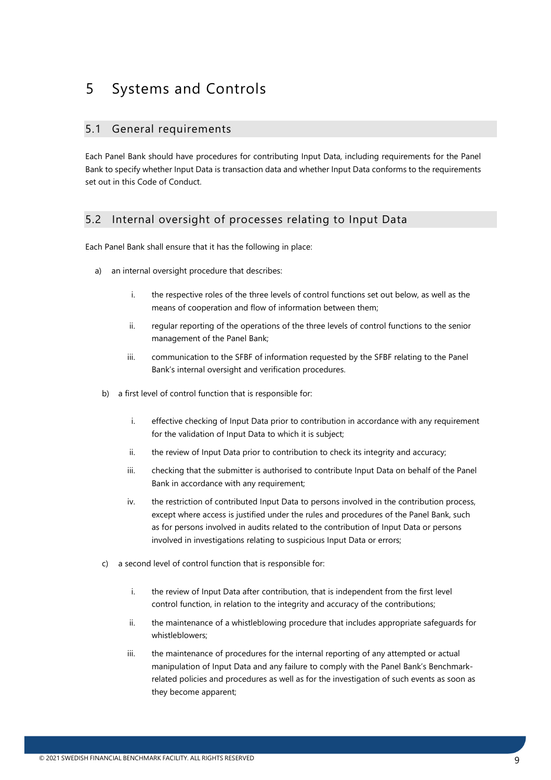## <span id="page-8-0"></span>5 Systems and Controls

#### <span id="page-8-1"></span>5.1 General requirements

Each Panel Bank should have procedures for contributing Input Data, including requirements for the Panel Bank to specify whether Input Data is transaction data and whether Input Data conforms to the requirements set out in this Code of Conduct.

### <span id="page-8-2"></span>5.2 Internal oversight of processes relating to Input Data

Each Panel Bank shall ensure that it has the following in place:

- a) an internal oversight procedure that describes:
	- i. the respective roles of the three levels of control functions set out below, as well as the means of cooperation and flow of information between them;
	- ii. regular reporting of the operations of the three levels of control functions to the senior management of the Panel Bank;
	- iii. communication to the SFBF of information requested by the SFBF relating to the Panel Bank's internal oversight and verification procedures.
	- b) a first level of control function that is responsible for:
		- i. effective checking of Input Data prior to contribution in accordance with any requirement for the validation of Input Data to which it is subject;
		- ii. the review of Input Data prior to contribution to check its integrity and accuracy;
		- iii. checking that the submitter is authorised to contribute Input Data on behalf of the Panel Bank in accordance with any requirement;
		- iv. the restriction of contributed Input Data to persons involved in the contribution process, except where access is justified under the rules and procedures of the Panel Bank, such as for persons involved in audits related to the contribution of Input Data or persons involved in investigations relating to suspicious Input Data or errors;
	- c) a second level of control function that is responsible for:
		- i. the review of Input Data after contribution, that is independent from the first level control function, in relation to the integrity and accuracy of the contributions;
		- ii. the maintenance of a whistleblowing procedure that includes appropriate safeguards for whistleblowers;
		- iii. the maintenance of procedures for the internal reporting of any attempted or actual manipulation of Input Data and any failure to comply with the Panel Bank's Benchmarkrelated policies and procedures as well as for the investigation of such events as soon as they become apparent;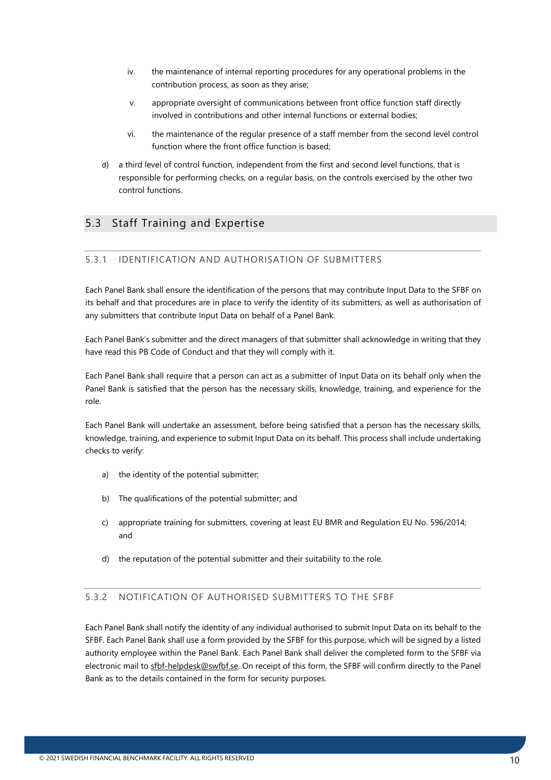- iv. the maintenance of internal reporting procedures for any operational problems in the contribution process, as soon as they arise;
- v. appropriate oversight of communications between front office function staff directly involved in contributions and other internal functions or external bodies;
- vi. the maintenance of the regular presence of a staff member from the second level control function where the front office function is based;
- d) a third level of control function, independent from the first and second level functions, that is responsible for performing checks, on a regular basis, on the controls exercised by the other two control functions.

### <span id="page-9-0"></span>5.3 Staff Training and Expertise

#### <span id="page-9-1"></span>5.3.1 IDENTIFICATION AND AUTHORISATION OF SUBMITTERS

Each Panel Bank shall ensure the identification of the persons that may contribute Input Data to the SFBF on its behalf and that procedures are in place to verify the identity of its submitters, as well as authorisation of any submitters that contribute Input Data on behalf of a Panel Bank.

Each Panel Bank's submitter and the direct managers of that submitter shall acknowledge in writing that they have read this PB Code of Conduct and that they will comply with it.

Each Panel Bank shall require that a person can act as a submitter of Input Data on its behalf only when the Panel Bank is satisfied that the person has the necessary skills, knowledge, training, and experience for the role.

Each Panel Bank will undertake an assessment, before being satisfied that a person has the necessary skills, knowledge, training, and experience to submit Input Data on its behalf. This process shall include undertaking checks to verify:

- a) the identity of the potential submitter;
- b) The qualifications of the potential submitter; and
- c) appropriate training for submitters, covering at least EU BMR and Regulation EU No. 596/2014; and
- d) the reputation of the potential submitter and their suitability to the role.

#### <span id="page-9-2"></span>5.3.2 NOTIFICATION OF AUTHORISED SUBMITTERS TO THE SFBF

Each Panel Bank shall notify the identity of any individual authorised to submit Input Data on its behalf to the SFBF. Each Panel Bank shall use a form provided by the SFBF for this purpose, which will be signed by a listed authority employee within the Panel Bank. Each Panel Bank shall deliver the completed form to the SFBF via electronic mail to [sfbf-helpdesk@swfbf.se.](mailto:sfbf-helpdesk@swfbf.se) On receipt of this form, the SFBF will confirm directly to the Panel Bank as to the details contained in the form for security purposes.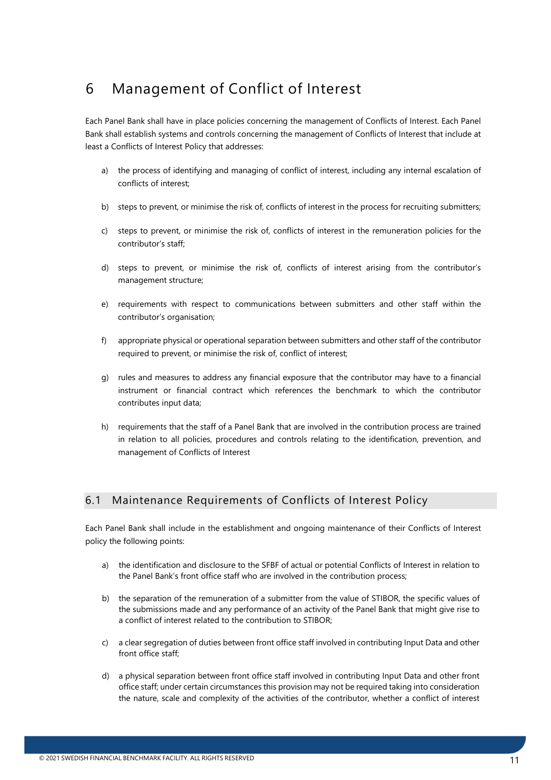## <span id="page-10-0"></span>6 Management of Conflict of Interest

Each Panel Bank shall have in place policies concerning the management of Conflicts of Interest. Each Panel Bank shall establish systems and controls concerning the management of Conflicts of Interest that include at least a Conflicts of Interest Policy that addresses:

- a) the process of identifying and managing of conflict of interest, including any internal escalation of conflicts of interest;
- b) steps to prevent, or minimise the risk of, conflicts of interest in the process for recruiting submitters;
- c) steps to prevent, or minimise the risk of, conflicts of interest in the remuneration policies for the contributor's staff;
- d) steps to prevent, or minimise the risk of, conflicts of interest arising from the contributor's management structure;
- e) requirements with respect to communications between submitters and other staff within the contributor's organisation;
- f) appropriate physical or operational separation between submitters and other staff of the contributor required to prevent, or minimise the risk of, conflict of interest;
- g) rules and measures to address any financial exposure that the contributor may have to a financial instrument or financial contract which references the benchmark to which the contributor contributes input data;
- h) requirements that the staff of a Panel Bank that are involved in the contribution process are trained in relation to all policies, procedures and controls relating to the identification, prevention, and management of Conflicts of Interest

### <span id="page-10-1"></span>6.1 Maintenance Requirements of Conflicts of Interest Policy

Each Panel Bank shall include in the establishment and ongoing maintenance of their Conflicts of Interest policy the following points:

- a) the identification and disclosure to the SFBF of actual or potential Conflicts of Interest in relation to the Panel Bank's front office staff who are involved in the contribution process;
- b) the separation of the remuneration of a submitter from the value of STIBOR, the specific values of the submissions made and any performance of an activity of the Panel Bank that might give rise to a conflict of interest related to the contribution to STIBOR;
- c) a clear segregation of duties between front office staff involved in contributing Input Data and other front office staff;
- d) a physical separation between front office staff involved in contributing Input Data and other front office staff; under certain circumstances this provision may not be required taking into consideration the nature, scale and complexity of the activities of the contributor, whether a conflict of interest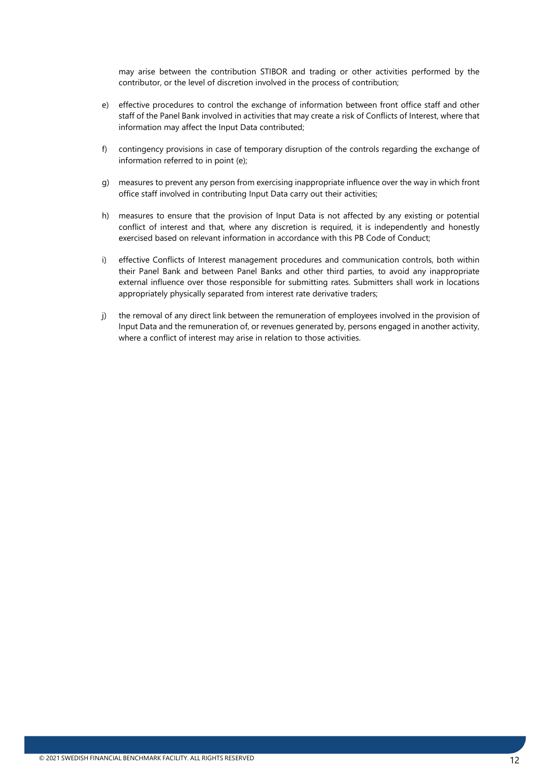may arise between the contribution STIBOR and trading or other activities performed by the contributor, or the level of discretion involved in the process of contribution;

- e) effective procedures to control the exchange of information between front office staff and other staff of the Panel Bank involved in activities that may create a risk of Conflicts of Interest, where that information may affect the Input Data contributed;
- f) contingency provisions in case of temporary disruption of the controls regarding the exchange of information referred to in point (e);
- g) measures to prevent any person from exercising inappropriate influence over the way in which front office staff involved in contributing Input Data carry out their activities;
- h) measures to ensure that the provision of Input Data is not affected by any existing or potential conflict of interest and that, where any discretion is required, it is independently and honestly exercised based on relevant information in accordance with this PB Code of Conduct;
- i) effective Conflicts of Interest management procedures and communication controls, both within their Panel Bank and between Panel Banks and other third parties, to avoid any inappropriate external influence over those responsible for submitting rates. Submitters shall work in locations appropriately physically separated from interest rate derivative traders;
- j) the removal of any direct link between the remuneration of employees involved in the provision of Input Data and the remuneration of, or revenues generated by, persons engaged in another activity, where a conflict of interest may arise in relation to those activities.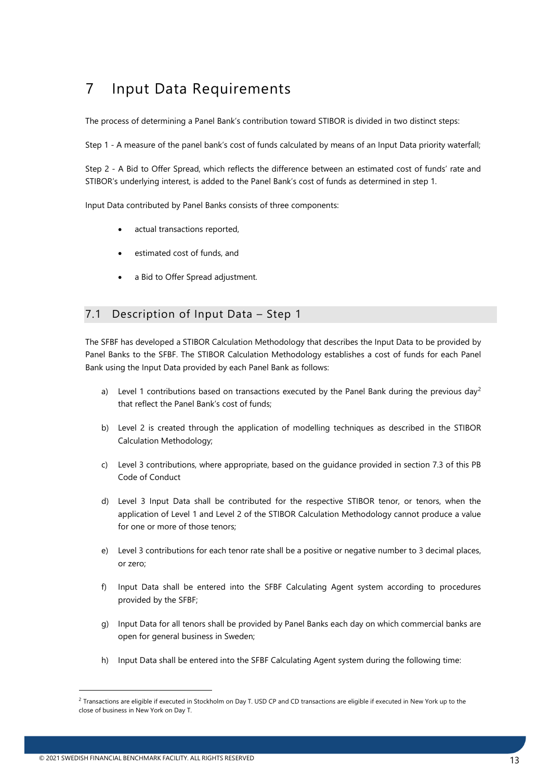## <span id="page-12-0"></span>7 Input Data Requirements

The process of determining a Panel Bank's contribution toward STIBOR is divided in two distinct steps:

Step 1 - A measure of the panel bank's cost of funds calculated by means of an Input Data priority waterfall;

Step 2 - A Bid to Offer Spread, which reflects the difference between an estimated cost of funds' rate and STIBOR's underlying interest, is added to the Panel Bank's cost of funds as determined in step 1.

Input Data contributed by Panel Banks consists of three components:

- actual transactions reported,
- estimated cost of funds, and
- a Bid to Offer Spread adjustment.

#### <span id="page-12-1"></span>7.1 Description of Input Data – Step 1

The SFBF has developed a STIBOR Calculation Methodology that describes the Input Data to be provided by Panel Banks to the SFBF. The STIBOR Calculation Methodology establishes a cost of funds for each Panel Bank using the Input Data provided by each Panel Bank as follows:

- a) Level 1 contributions based on transactions executed by the Panel Bank during the previous day<sup>[2](#page-12-2)</sup> that reflect the Panel Bank's cost of funds;
- b) Level 2 is created through the application of modelling techniques as described in the STIBOR Calculation Methodology;
- c) Level 3 contributions, where appropriate, based on the guidance provided in section 7.3 of this PB Code of Conduct
- d) Level 3 Input Data shall be contributed for the respective STIBOR tenor, or tenors, when the application of Level 1 and Level 2 of the STIBOR Calculation Methodology cannot produce a value for one or more of those tenors;
- e) Level 3 contributions for each tenor rate shall be a positive or negative number to 3 decimal places, or zero;
- f) Input Data shall be entered into the SFBF Calculating Agent system according to procedures provided by the SFBF;
- g) Input Data for all tenors shall be provided by Panel Banks each day on which commercial banks are open for general business in Sweden;
- h) Input Data shall be entered into the SFBF Calculating Agent system during the following time:

<span id="page-12-2"></span> $2$  Transactions are eligible if executed in Stockholm on Day T. USD CP and CD transactions are eligible if executed in New York up to the close of business in New York on Day T.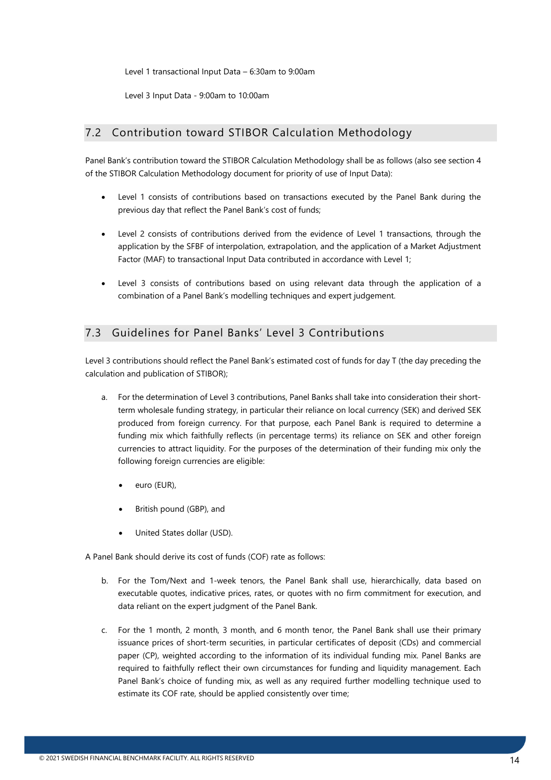Level 1 transactional Input Data – 6:30am to 9:00am

Level 3 Input Data - 9:00am to 10:00am

#### <span id="page-13-0"></span>7.2 Contribution toward STIBOR Calculation Methodology

Panel Bank's contribution toward the STIBOR Calculation Methodology shall be as follows (also see section 4 of the STIBOR Calculation Methodology document for priority of use of Input Data):

- Level 1 consists of contributions based on transactions executed by the Panel Bank during the previous day that reflect the Panel Bank's cost of funds;
- Level 2 consists of contributions derived from the evidence of Level 1 transactions, through the application by the SFBF of interpolation, extrapolation, and the application of a Market Adjustment Factor (MAF) to transactional Input Data contributed in accordance with Level 1;
- Level 3 consists of contributions based on using relevant data through the application of a combination of a Panel Bank's modelling techniques and expert judgement.

### <span id="page-13-1"></span>7.3 Guidelines for Panel Banks' Level 3 Contributions

Level 3 contributions should reflect the Panel Bank's estimated cost of funds for day T (the day preceding the calculation and publication of STIBOR);

- a. For the determination of Level 3 contributions, Panel Banks shall take into consideration their shortterm wholesale funding strategy, in particular their reliance on local currency (SEK) and derived SEK produced from foreign currency. For that purpose, each Panel Bank is required to determine a funding mix which faithfully reflects (in percentage terms) its reliance on SEK and other foreign currencies to attract liquidity. For the purposes of the determination of their funding mix only the following foreign currencies are eligible:
	- euro (EUR),
	- British pound (GBP), and
	- United States dollar (USD).

A Panel Bank should derive its cost of funds (COF) rate as follows:

- b. For the Tom/Next and 1-week tenors, the Panel Bank shall use, hierarchically, data based on executable quotes, indicative prices, rates, or quotes with no firm commitment for execution, and data reliant on the expert judgment of the Panel Bank.
- c. For the 1 month, 2 month, 3 month, and 6 month tenor, the Panel Bank shall use their primary issuance prices of short-term securities, in particular certificates of deposit (CDs) and commercial paper (CP), weighted according to the information of its individual funding mix. Panel Banks are required to faithfully reflect their own circumstances for funding and liquidity management. Each Panel Bank's choice of funding mix, as well as any required further modelling technique used to estimate its COF rate, should be applied consistently over time;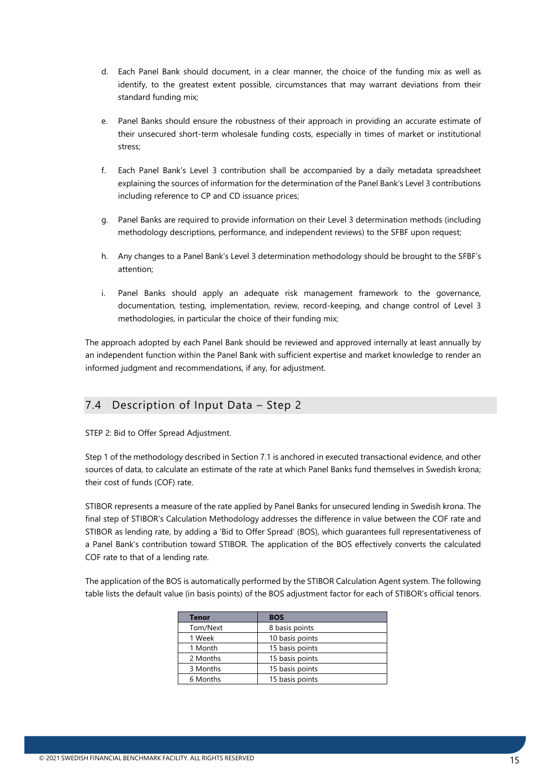- d. Each Panel Bank should document, in a clear manner, the choice of the funding mix as well as identify, to the greatest extent possible, circumstances that may warrant deviations from their standard funding mix;
- e. Panel Banks should ensure the robustness of their approach in providing an accurate estimate of their unsecured short-term wholesale funding costs, especially in times of market or institutional stress;
- f. Each Panel Bank's Level 3 contribution shall be accompanied by a daily metadata spreadsheet explaining the sources of information for the determination of the Panel Bank's Level 3 contributions including reference to CP and CD issuance prices;
- g. Panel Banks are required to provide information on their Level 3 determination methods (including methodology descriptions, performance, and independent reviews) to the SFBF upon request;
- h. Any changes to a Panel Bank's Level 3 determination methodology should be brought to the SFBF's attention;
- i. Panel Banks should apply an adequate risk management framework to the governance, documentation, testing, implementation, review, record-keeping, and change control of Level 3 methodologies, in particular the choice of their funding mix;

The approach adopted by each Panel Bank should be reviewed and approved internally at least annually by an independent function within the Panel Bank with sufficient expertise and market knowledge to render an informed judgment and recommendations, if any, for adjustment.

### <span id="page-14-0"></span>7.4 Description of Input Data – Step 2

STEP 2: Bid to Offer Spread Adjustment.

Step 1 of the methodology described in Section 7.1 is anchored in executed transactional evidence, and other sources of data, to calculate an estimate of the rate at which Panel Banks fund themselves in Swedish krona; their cost of funds (COF) rate.

STIBOR represents a measure of the rate applied by Panel Banks for unsecured lending in Swedish krona. The final step of STIBOR's Calculation Methodology addresses the difference in value between the COF rate and STIBOR as lending rate, by adding a 'Bid to Offer Spread' (BOS), which guarantees full representativeness of a Panel Bank's contribution toward STIBOR. The application of the BOS effectively converts the calculated COF rate to that of a lending rate.

The application of the BOS is automatically performed by the STIBOR Calculation Agent system. The following table lists the default value (in basis points) of the BOS adjustment factor for each of STIBOR's official tenors.

| <b>Tenor</b> | <b>BOS</b>      |
|--------------|-----------------|
| Tom/Next     | 8 basis points  |
| 1 Week       | 10 basis points |
| 1 Month      | 15 basis points |
| 2 Months     | 15 basis points |
| 3 Months     | 15 basis points |
| 6 Months     | 15 basis points |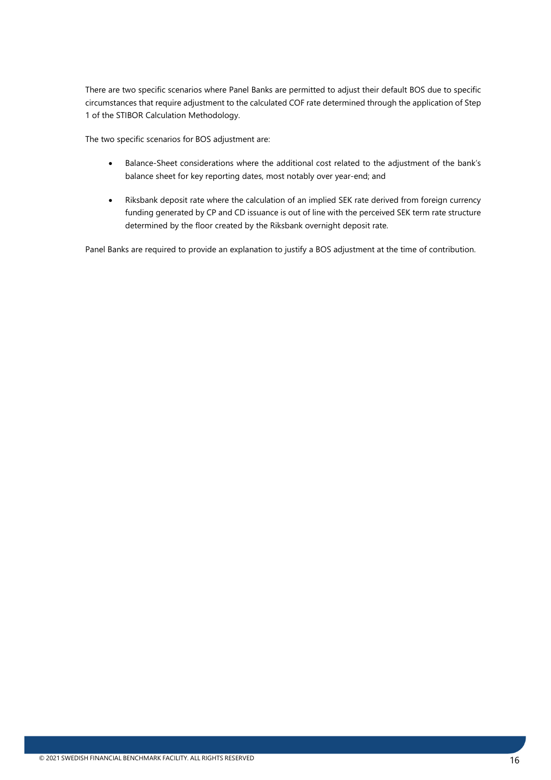There are two specific scenarios where Panel Banks are permitted to adjust their default BOS due to specific circumstances that require adjustment to the calculated COF rate determined through the application of Step 1 of the STIBOR Calculation Methodology.

The two specific scenarios for BOS adjustment are:

- Balance-Sheet considerations where the additional cost related to the adjustment of the bank's balance sheet for key reporting dates, most notably over year-end; and
- Riksbank deposit rate where the calculation of an implied SEK rate derived from foreign currency funding generated by CP and CD issuance is out of line with the perceived SEK term rate structure determined by the floor created by the Riksbank overnight deposit rate.

Panel Banks are required to provide an explanation to justify a BOS adjustment at the time of contribution.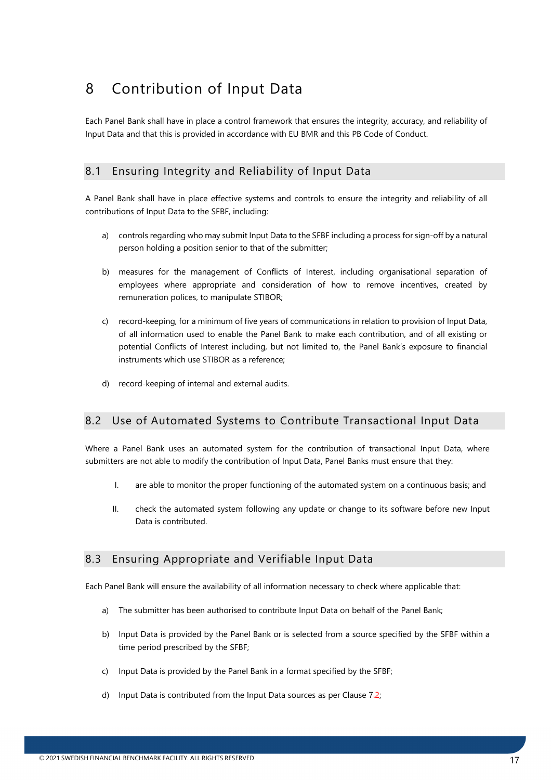# <span id="page-16-0"></span>8 Contribution of Input Data

Each Panel Bank shall have in place a control framework that ensures the integrity, accuracy, and reliability of Input Data and that this is provided in accordance with EU BMR and this PB Code of Conduct.

### <span id="page-16-1"></span>8.1 Ensuring Integrity and Reliability of Input Data

A Panel Bank shall have in place effective systems and controls to ensure the integrity and reliability of all contributions of Input Data to the SFBF, including:

- a) controls regarding who may submit Input Data to the SFBF including a process for sign-off by a natural person holding a position senior to that of the submitter;
- b) measures for the management of Conflicts of Interest, including organisational separation of employees where appropriate and consideration of how to remove incentives, created by remuneration polices, to manipulate STIBOR;
- c) record-keeping, for a minimum of five years of communications in relation to provision of Input Data, of all information used to enable the Panel Bank to make each contribution, and of all existing or potential Conflicts of Interest including, but not limited to, the Panel Bank's exposure to financial instruments which use STIBOR as a reference;
- d) record-keeping of internal and external audits.

### <span id="page-16-2"></span>8.2 Use of Automated Systems to Contribute Transactional Input Data

Where a Panel Bank uses an automated system for the contribution of transactional Input Data, where submitters are not able to modify the contribution of Input Data, Panel Banks must ensure that they:

- I. are able to monitor the proper functioning of the automated system on a continuous basis; and
- II. check the automated system following any update or change to its software before new Input Data is contributed.

### <span id="page-16-3"></span>8.3 Ensuring Appropriate and Verifiable Input Data

Each Panel Bank will ensure the availability of all information necessary to check where applicable that:

- a) The submitter has been authorised to contribute Input Data on behalf of the Panel Bank;
- b) Input Data is provided by the Panel Bank or is selected from a source specified by the SFBF within a time period prescribed by the SFBF;
- c) Input Data is provided by the Panel Bank in a format specified by the SFBF;
- d) Input Data is contributed from the Input Data sources as per Clause  $7.2$ ;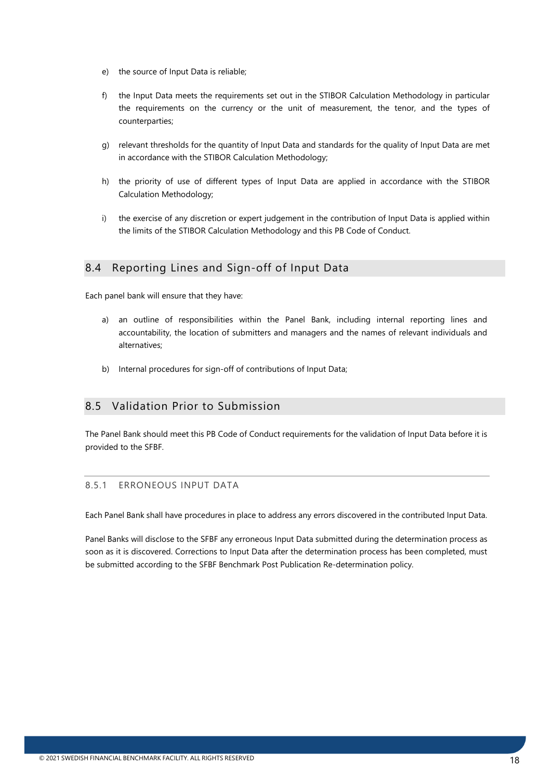- e) the source of Input Data is reliable;
- f) the Input Data meets the requirements set out in the STIBOR Calculation Methodology in particular the requirements on the currency or the unit of measurement, the tenor, and the types of counterparties;
- g) relevant thresholds for the quantity of Input Data and standards for the quality of Input Data are met in accordance with the STIBOR Calculation Methodology;
- h) the priority of use of different types of Input Data are applied in accordance with the STIBOR Calculation Methodology;
- i) the exercise of any discretion or expert judgement in the contribution of Input Data is applied within the limits of the STIBOR Calculation Methodology and this PB Code of Conduct.

### <span id="page-17-0"></span>8.4 Reporting Lines and Sign-off of Input Data

Each panel bank will ensure that they have:

- a) an outline of responsibilities within the Panel Bank, including internal reporting lines and accountability, the location of submitters and managers and the names of relevant individuals and alternatives;
- b) Internal procedures for sign-off of contributions of Input Data;

### <span id="page-17-1"></span>8.5 Validation Prior to Submission

The Panel Bank should meet this PB Code of Conduct requirements for the validation of Input Data before it is provided to the SFBF.

#### <span id="page-17-2"></span>8.5.1 ERRONEOUS INPUT DATA

Each Panel Bank shall have procedures in place to address any errors discovered in the contributed Input Data.

Panel Banks will disclose to the SFBF any erroneous Input Data submitted during the determination process as soon as it is discovered. Corrections to Input Data after the determination process has been completed, must be submitted according to the SFBF Benchmark Post Publication Re-determination policy.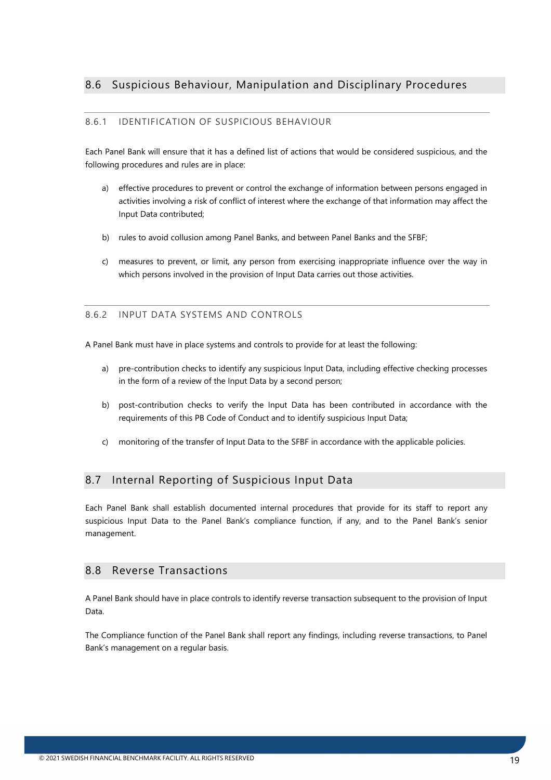#### <span id="page-18-1"></span><span id="page-18-0"></span>8.6.1 IDENTIFICATION OF SUSPICIOUS BEHAVIOUR

Each Panel Bank will ensure that it has a defined list of actions that would be considered suspicious, and the following procedures and rules are in place:

- a) effective procedures to prevent or control the exchange of information between persons engaged in activities involving a risk of conflict of interest where the exchange of that information may affect the Input Data contributed;
- b) rules to avoid collusion among Panel Banks, and between Panel Banks and the SFBF;
- c) measures to prevent, or limit, any person from exercising inappropriate influence over the way in which persons involved in the provision of Input Data carries out those activities.

#### <span id="page-18-2"></span>8.6.2 INPUT DATA SYSTEMS AND CONTROLS

A Panel Bank must have in place systems and controls to provide for at least the following:

- a) pre-contribution checks to identify any suspicious Input Data, including effective checking processes in the form of a review of the Input Data by a second person;
- b) post-contribution checks to verify the Input Data has been contributed in accordance with the requirements of this PB Code of Conduct and to identify suspicious Input Data;
- c) monitoring of the transfer of Input Data to the SFBF in accordance with the applicable policies.

### <span id="page-18-3"></span>8.7 Internal Reporting of Suspicious Input Data

Each Panel Bank shall establish documented internal procedures that provide for its staff to report any suspicious Input Data to the Panel Bank's compliance function, if any, and to the Panel Bank's senior management.

#### <span id="page-18-4"></span>8.8 Reverse Transactions

A Panel Bank should have in place controls to identify reverse transaction subsequent to the provision of Input Data.

The Compliance function of the Panel Bank shall report any findings, including reverse transactions, to Panel Bank's management on a regular basis.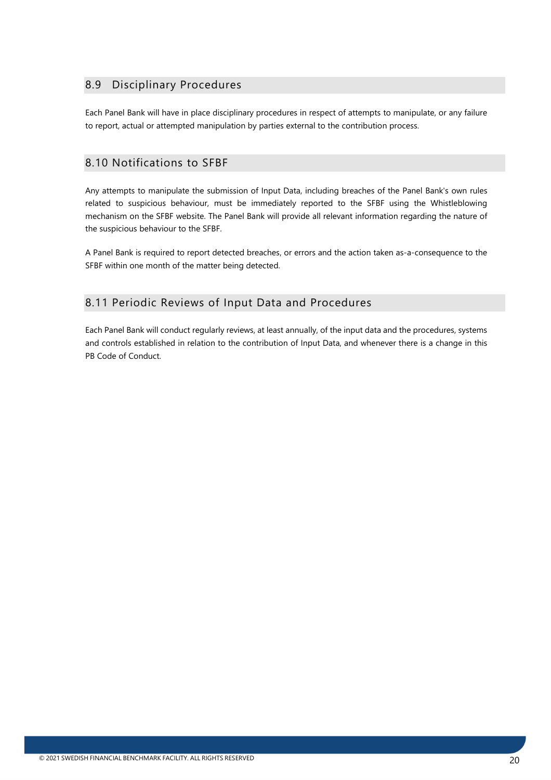### <span id="page-19-0"></span>8.9 Disciplinary Procedures

Each Panel Bank will have in place disciplinary procedures in respect of attempts to manipulate, or any failure to report, actual or attempted manipulation by parties external to the contribution process.

#### <span id="page-19-1"></span>8.10 Notifications to SFBF

Any attempts to manipulate the submission of Input Data, including breaches of the Panel Bank's own rules related to suspicious behaviour, must be immediately reported to the SFBF using the Whistleblowing mechanism on the SFBF website. The Panel Bank will provide all relevant information regarding the nature of the suspicious behaviour to the SFBF.

A Panel Bank is required to report detected breaches, or errors and the action taken as-a-consequence to the SFBF within one month of the matter being detected.

### <span id="page-19-2"></span>8.11 Periodic Reviews of Input Data and Procedures

Each Panel Bank will conduct regularly reviews, at least annually, of the input data and the procedures, systems and controls established in relation to the contribution of Input Data, and whenever there is a change in this PB Code of Conduct.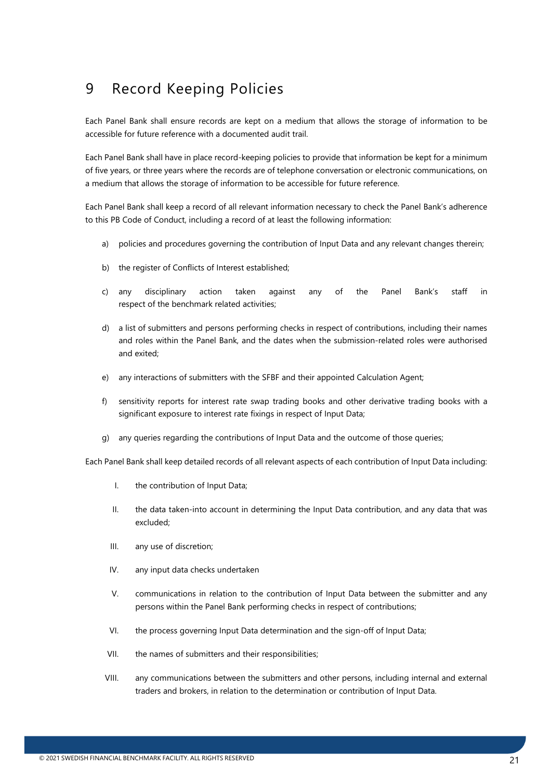## <span id="page-20-0"></span>9 Record Keeping Policies

Each Panel Bank shall ensure records are kept on a medium that allows the storage of information to be accessible for future reference with a documented audit trail.

Each Panel Bank shall have in place record-keeping policies to provide that information be kept for a minimum of five years, or three years where the records are of telephone conversation or electronic communications, on a medium that allows the storage of information to be accessible for future reference.

Each Panel Bank shall keep a record of all relevant information necessary to check the Panel Bank's adherence to this PB Code of Conduct, including a record of at least the following information:

- a) policies and procedures governing the contribution of Input Data and any relevant changes therein;
- b) the register of Conflicts of Interest established;
- c) any disciplinary action taken against any of the Panel Bank's staff in respect of the benchmark related activities;
- d) a list of submitters and persons performing checks in respect of contributions, including their names and roles within the Panel Bank, and the dates when the submission-related roles were authorised and exited;
- e) any interactions of submitters with the SFBF and their appointed Calculation Agent;
- f) sensitivity reports for interest rate swap trading books and other derivative trading books with a significant exposure to interest rate fixings in respect of Input Data;
- g) any queries regarding the contributions of Input Data and the outcome of those queries;

Each Panel Bank shall keep detailed records of all relevant aspects of each contribution of Input Data including:

- I. the contribution of Input Data;
- II. the data taken-into account in determining the Input Data contribution, and any data that was excluded;
- III. any use of discretion;
- IV. any input data checks undertaken
- V. communications in relation to the contribution of Input Data between the submitter and any persons within the Panel Bank performing checks in respect of contributions;
- VI. the process governing Input Data determination and the sign-off of Input Data;
- VII. the names of submitters and their responsibilities;
- VIII. any communications between the submitters and other persons, including internal and external traders and brokers, in relation to the determination or contribution of Input Data.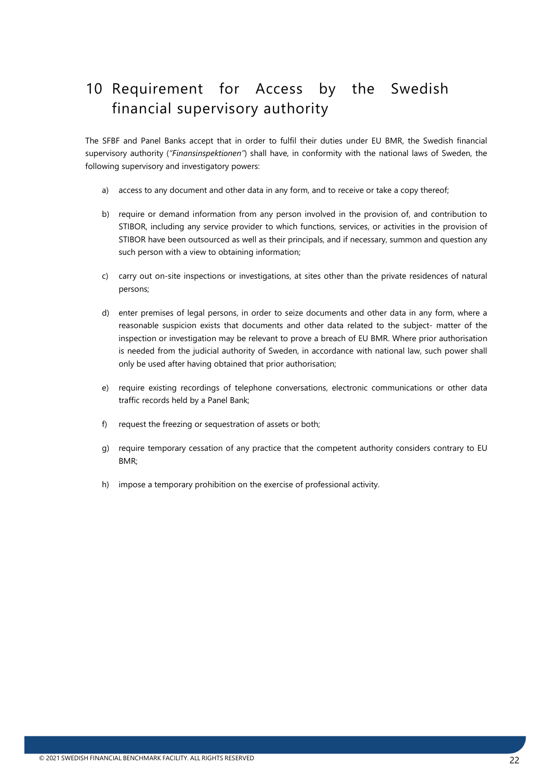# <span id="page-21-0"></span>10 Requirement for Access by the Swedish financial supervisory authority

The SFBF and Panel Banks accept that in order to fulfil their duties under EU BMR, the Swedish financial supervisory authority (*"Finansinspektionen"*) shall have, in conformity with the national laws of Sweden, the following supervisory and investigatory powers:

- a) access to any document and other data in any form, and to receive or take a copy thereof;
- b) require or demand information from any person involved in the provision of, and contribution to STIBOR, including any service provider to which functions, services, or activities in the provision of STIBOR have been outsourced as well as their principals, and if necessary, summon and question any such person with a view to obtaining information;
- c) carry out on-site inspections or investigations, at sites other than the private residences of natural persons;
- d) enter premises of legal persons, in order to seize documents and other data in any form, where a reasonable suspicion exists that documents and other data related to the subject- matter of the inspection or investigation may be relevant to prove a breach of EU BMR. Where prior authorisation is needed from the judicial authority of Sweden, in accordance with national law, such power shall only be used after having obtained that prior authorisation;
- e) require existing recordings of telephone conversations, electronic communications or other data traffic records held by a Panel Bank;
- f) request the freezing or sequestration of assets or both;
- g) require temporary cessation of any practice that the competent authority considers contrary to EU BMR;
- h) impose a temporary prohibition on the exercise of professional activity.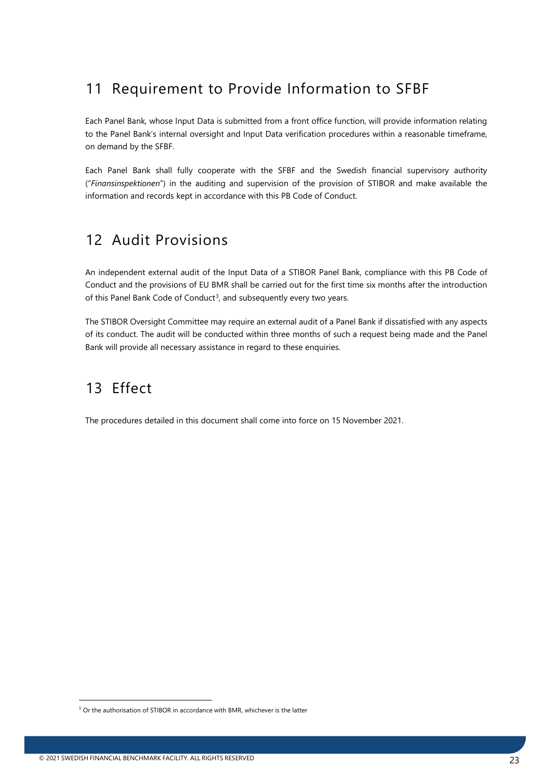## <span id="page-22-0"></span>11 Requirement to Provide Information to SFBF

Each Panel Bank, whose Input Data is submitted from a front office function, will provide information relating to the Panel Bank's internal oversight and Input Data verification procedures within a reasonable timeframe, on demand by the SFBF.

Each Panel Bank shall fully cooperate with the SFBF and the Swedish financial supervisory authority ("*Finansinspektionen*") in the auditing and supervision of the provision of STIBOR and make available the information and records kept in accordance with this PB Code of Conduct.

## <span id="page-22-1"></span>12 Audit Provisions

An independent external audit of the Input Data of a STIBOR Panel Bank, compliance with this PB Code of Conduct and the provisions of EU BMR shall be carried out for the first time six months after the introduction of this Panel Bank Code of Conduct<sup>[3](#page-22-3)</sup>, and subsequently every two years.

The STIBOR Oversight Committee may require an external audit of a Panel Bank if dissatisfied with any aspects of its conduct. The audit will be conducted within three months of such a request being made and the Panel Bank will provide all necessary assistance in regard to these enquiries.

## <span id="page-22-2"></span>13 Effect

The procedures detailed in this document shall come into force on 15 November 2021.

<span id="page-22-3"></span><sup>&</sup>lt;sup>3</sup> Or the authorisation of STIBOR in accordance with BMR, whichever is the latter